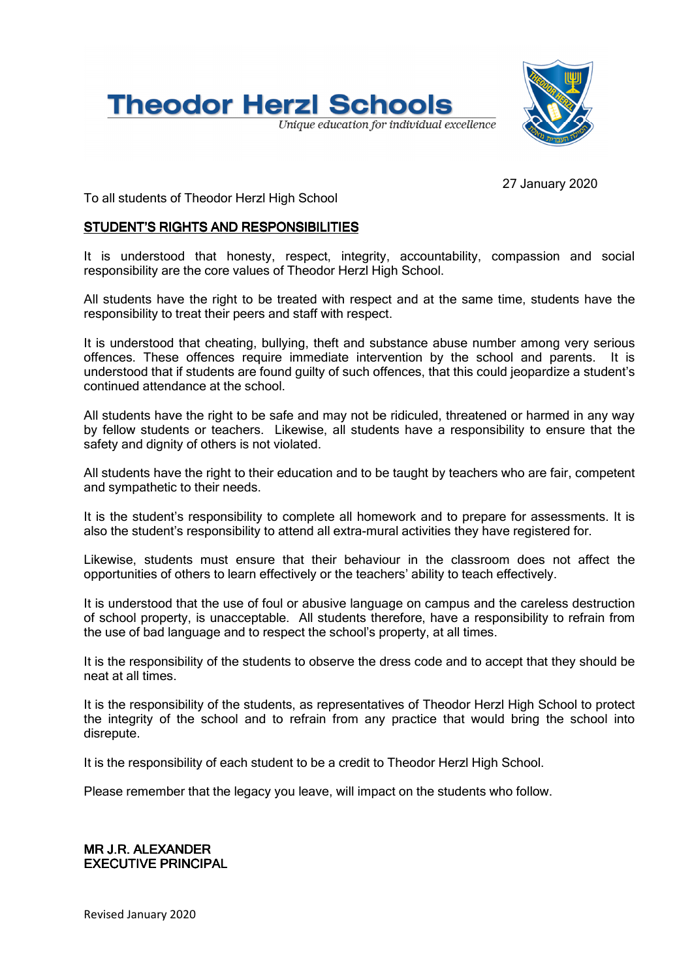



27 January 2020

To all students of Theodor Herzl High School

## STUDENT'S RIGHTS AND RESPONSIBILITIES

It is understood that honesty, respect, integrity, accountability, compassion and social responsibility are the core values of Theodor Herzl High School.

All students have the right to be treated with respect and at the same time, students have the responsibility to treat their peers and staff with respect.

It is understood that cheating, bullying, theft and substance abuse number among very serious offences. These offences require immediate intervention by the school and parents. It is understood that if students are found guilty of such offences, that this could jeopardize a student's continued attendance at the school.

All students have the right to be safe and may not be ridiculed, threatened or harmed in any way by fellow students or teachers. Likewise, all students have a responsibility to ensure that the safety and dignity of others is not violated.

All students have the right to their education and to be taught by teachers who are fair, competent and sympathetic to their needs.

It is the student's responsibility to complete all homework and to prepare for assessments. It is also the student's responsibility to attend all extra-mural activities they have registered for.

Likewise, students must ensure that their behaviour in the classroom does not affect the opportunities of others to learn effectively or the teachers' ability to teach effectively.

It is understood that the use of foul or abusive language on campus and the careless destruction of school property, is unacceptable. All students therefore, have a responsibility to refrain from the use of bad language and to respect the school's property, at all times.

It is the responsibility of the students to observe the dress code and to accept that they should be neat at all times.

It is the responsibility of the students, as representatives of Theodor Herzl High School to protect the integrity of the school and to refrain from any practice that would bring the school into disrepute.

It is the responsibility of each student to be a credit to Theodor Herzl High School.

Please remember that the legacy you leave, will impact on the students who follow.

#### MR J.R. ALE ALEXANDER **EXECUTIVE PRINCIPAL**

Revised January 2020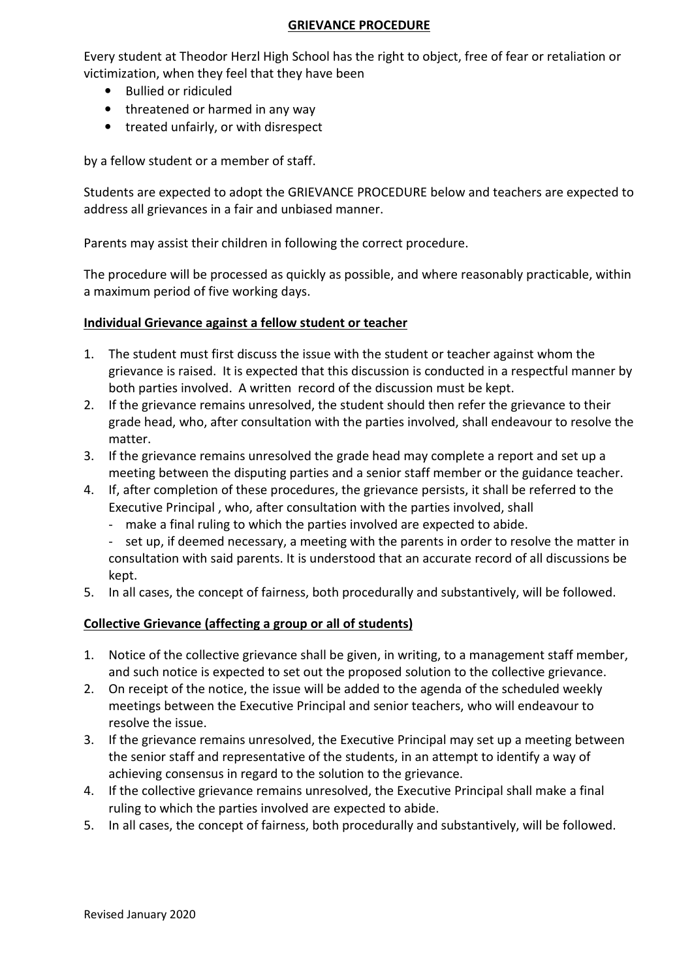#### GRIEVANCE PROCEDURE

Every student at Theodor Herzl High School has the right to object, free of fear or retaliation or victimization, when they feel that they have been

- Bullied or ridiculed
- threatened or harmed in any way
- treated unfairly, or with disrespect

by a fellow student or a member of staff.

Students are expected to adopt the GRIEVANCE PROCEDURE below and teachers are expected to address all grievances in a fair and unbiased manner.

Parents may assist their children in following the correct procedure.

The procedure will be processed as quickly as possible, and where reasonably practicable, within a maximum period of five working days.

#### Individual Grievance against a fellow student or teacher

- 1. The student must first discuss the issue with the student or teacher against whom the grievance is raised. It is expected that this discussion is conducted in a respectful manner by both parties involved. A written record of the discussion must be kept.
- 2. If the grievance remains unresolved, the student should then refer the grievance to their grade head, who, after consultation with the parties involved, shall endeavour to resolve the matter.
- 3. If the grievance remains unresolved the grade head may complete a report and set up a meeting between the disputing parties and a senior staff member or the guidance teacher.
- 4. If, after completion of these procedures, the grievance persists, it shall be referred to the Executive Principal , who, after consultation with the parties involved, shall
	- make a final ruling to which the parties involved are expected to abide.
	- set up, if deemed necessary, a meeting with the parents in order to resolve the matter in consultation with said parents. It is understood that an accurate record of all discussions be kept.
- 5. In all cases, the concept of fairness, both procedurally and substantively, will be followed.

#### Collective Grievance (affecting a group or all of students)

- 1. Notice of the collective grievance shall be given, in writing, to a management staff member, and such notice is expected to set out the proposed solution to the collective grievance.
- 2. On receipt of the notice, the issue will be added to the agenda of the scheduled weekly meetings between the Executive Principal and senior teachers, who will endeavour to resolve the issue.
- 3. If the grievance remains unresolved, the Executive Principal may set up a meeting between the senior staff and representative of the students, in an attempt to identify a way of achieving consensus in regard to the solution to the grievance.
- 4. If the collective grievance remains unresolved, the Executive Principal shall make a final ruling to which the parties involved are expected to abide.
- 5. In all cases, the concept of fairness, both procedurally and substantively, will be followed.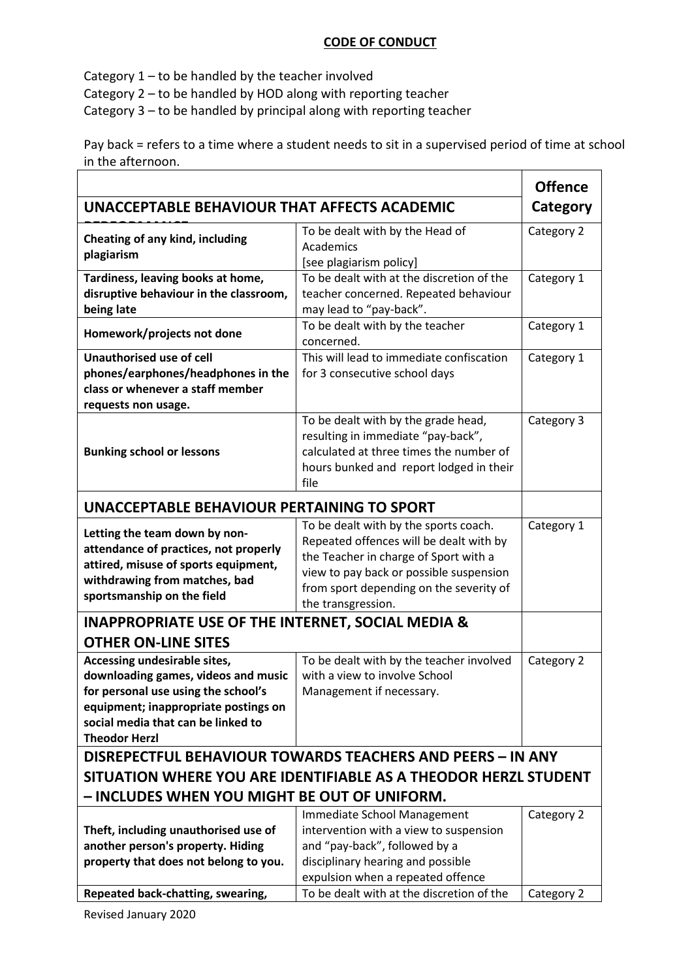### CODE OF CONDUCT

Category 1 – to be handled by the teacher involved

Category 2 – to be handled by HOD along with reporting teacher

Category 3 – to be handled by principal along with reporting teacher

Pay back = refers to a time where a student needs to sit in a supervised period of time at school in the afternoon.

|                                                                                                                                                                                                                  |                                                                                                                                                                                                                                       | <b>Offence</b> |  |
|------------------------------------------------------------------------------------------------------------------------------------------------------------------------------------------------------------------|---------------------------------------------------------------------------------------------------------------------------------------------------------------------------------------------------------------------------------------|----------------|--|
| UNACCEPTABLE BEHAVIOUR THAT AFFECTS ACADEMIC                                                                                                                                                                     |                                                                                                                                                                                                                                       | Category       |  |
| Cheating of any kind, including<br>plagiarism                                                                                                                                                                    | To be dealt with by the Head of<br>Academics<br>[see plagiarism policy]                                                                                                                                                               | Category 2     |  |
| Tardiness, leaving books at home,<br>disruptive behaviour in the classroom,<br>being late                                                                                                                        | To be dealt with at the discretion of the<br>teacher concerned. Repeated behaviour<br>may lead to "pay-back".                                                                                                                         | Category 1     |  |
| Homework/projects not done                                                                                                                                                                                       | To be dealt with by the teacher<br>concerned.                                                                                                                                                                                         | Category 1     |  |
| <b>Unauthorised use of cell</b><br>phones/earphones/headphones in the<br>class or whenever a staff member<br>requests non usage.                                                                                 | This will lead to immediate confiscation<br>for 3 consecutive school days                                                                                                                                                             | Category 1     |  |
| <b>Bunking school or lessons</b>                                                                                                                                                                                 | To be dealt with by the grade head,<br>resulting in immediate "pay-back",<br>calculated at three times the number of<br>hours bunked and report lodged in their<br>file                                                               | Category 3     |  |
| UNACCEPTABLE BEHAVIOUR PERTAINING TO SPORT                                                                                                                                                                       |                                                                                                                                                                                                                                       |                |  |
| Letting the team down by non-<br>attendance of practices, not properly<br>attired, misuse of sports equipment,<br>withdrawing from matches, bad<br>sportsmanship on the field                                    | To be dealt with by the sports coach.<br>Repeated offences will be dealt with by<br>the Teacher in charge of Sport with a<br>view to pay back or possible suspension<br>from sport depending on the severity of<br>the transgression. | Category 1     |  |
| <b>INAPPROPRIATE USE OF THE INTERNET, SOCIAL MEDIA &amp;</b>                                                                                                                                                     |                                                                                                                                                                                                                                       |                |  |
| <b>OTHER ON-LINE SITES</b>                                                                                                                                                                                       |                                                                                                                                                                                                                                       |                |  |
| Accessing undesirable sites,<br>downloading games, videos and music<br>for personal use using the school's<br>equipment; inappropriate postings on<br>social media that can be linked to<br><b>Theodor Herzl</b> | To be dealt with by the teacher involved<br>with a view to involve School<br>Management if necessary.                                                                                                                                 | Category 2     |  |
| DISREPECTFUL BEHAVIOUR TOWARDS TEACHERS AND PEERS - IN ANY                                                                                                                                                       |                                                                                                                                                                                                                                       |                |  |
| SITUATION WHERE YOU ARE IDENTIFIABLE AS A THEODOR HERZL STUDENT                                                                                                                                                  |                                                                                                                                                                                                                                       |                |  |
| – INCLUDES WHEN YOU MIGHT BE OUT OF UNIFORM.                                                                                                                                                                     |                                                                                                                                                                                                                                       |                |  |
| Theft, including unauthorised use of<br>another person's property. Hiding<br>property that does not belong to you.                                                                                               | Immediate School Management<br>intervention with a view to suspension<br>and "pay-back", followed by a<br>disciplinary hearing and possible<br>expulsion when a repeated offence                                                      | Category 2     |  |
| Repeated back-chatting, swearing,                                                                                                                                                                                | To be dealt with at the discretion of the                                                                                                                                                                                             | Category 2     |  |
|                                                                                                                                                                                                                  |                                                                                                                                                                                                                                       |                |  |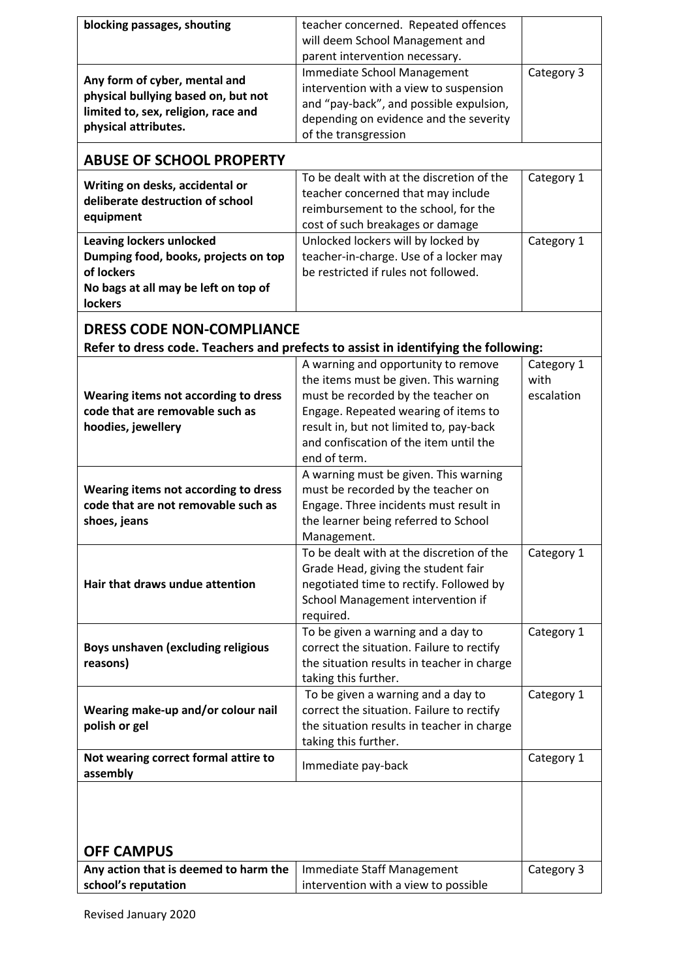| blocking passages, shouting           | teacher concerned. Repeated offences                                               |            |
|---------------------------------------|------------------------------------------------------------------------------------|------------|
|                                       | will deem School Management and                                                    |            |
|                                       | parent intervention necessary.                                                     |            |
|                                       | Immediate School Management                                                        | Category 3 |
| Any form of cyber, mental and         | intervention with a view to suspension                                             |            |
| physical bullying based on, but not   | and "pay-back", and possible expulsion,                                            |            |
| limited to, sex, religion, race and   | depending on evidence and the severity                                             |            |
| physical attributes.                  | of the transgression                                                               |            |
|                                       |                                                                                    |            |
| <b>ABUSE OF SCHOOL PROPERTY</b>       |                                                                                    |            |
| Writing on desks, accidental or       | To be dealt with at the discretion of the                                          | Category 1 |
| deliberate destruction of school      | teacher concerned that may include                                                 |            |
| equipment                             | reimbursement to the school, for the                                               |            |
|                                       | cost of such breakages or damage                                                   |            |
| <b>Leaving lockers unlocked</b>       | Unlocked lockers will by locked by                                                 | Category 1 |
| Dumping food, books, projects on top  | teacher-in-charge. Use of a locker may                                             |            |
| of lockers                            | be restricted if rules not followed.                                               |            |
| No bags at all may be left on top of  |                                                                                    |            |
| lockers                               |                                                                                    |            |
| <b>DRESS CODE NON-COMPLIANCE</b>      |                                                                                    |            |
|                                       |                                                                                    |            |
|                                       | Refer to dress code. Teachers and prefects to assist in identifying the following: |            |
|                                       | A warning and opportunity to remove                                                | Category 1 |
|                                       | the items must be given. This warning                                              | with       |
| Wearing items not according to dress  | must be recorded by the teacher on                                                 | escalation |
| code that are removable such as       | Engage. Repeated wearing of items to                                               |            |
| hoodies, jewellery                    | result in, but not limited to, pay-back                                            |            |
|                                       | and confiscation of the item until the                                             |            |
|                                       | end of term.                                                                       |            |
|                                       | A warning must be given. This warning                                              |            |
| Wearing items not according to dress  | must be recorded by the teacher on                                                 |            |
| code that are not removable such as   | Engage. Three incidents must result in                                             |            |
| shoes, jeans                          | the learner being referred to School                                               |            |
|                                       | Management.<br>To be dealt with at the discretion of the                           |            |
|                                       | Grade Head, giving the student fair                                                | Category 1 |
| Hair that draws undue attention       | negotiated time to rectify. Followed by                                            |            |
|                                       | School Management intervention if                                                  |            |
|                                       | required.                                                                          |            |
|                                       | To be given a warning and a day to                                                 | Category 1 |
| Boys unshaven (excluding religious    | correct the situation. Failure to rectify                                          |            |
| reasons)                              | the situation results in teacher in charge                                         |            |
|                                       | taking this further.                                                               |            |
|                                       | To be given a warning and a day to                                                 | Category 1 |
| Wearing make-up and/or colour nail    | correct the situation. Failure to rectify                                          |            |
| polish or gel                         | the situation results in teacher in charge                                         |            |
|                                       | taking this further.                                                               |            |
| Not wearing correct formal attire to  |                                                                                    | Category 1 |
| assembly                              | Immediate pay-back                                                                 |            |
|                                       |                                                                                    |            |
|                                       |                                                                                    |            |
|                                       |                                                                                    |            |
|                                       |                                                                                    |            |
| <b>OFF CAMPUS</b>                     |                                                                                    |            |
| Any action that is deemed to harm the | Immediate Staff Management                                                         | Category 3 |
|                                       | intervention with a view to possible                                               |            |
| school's reputation                   |                                                                                    |            |